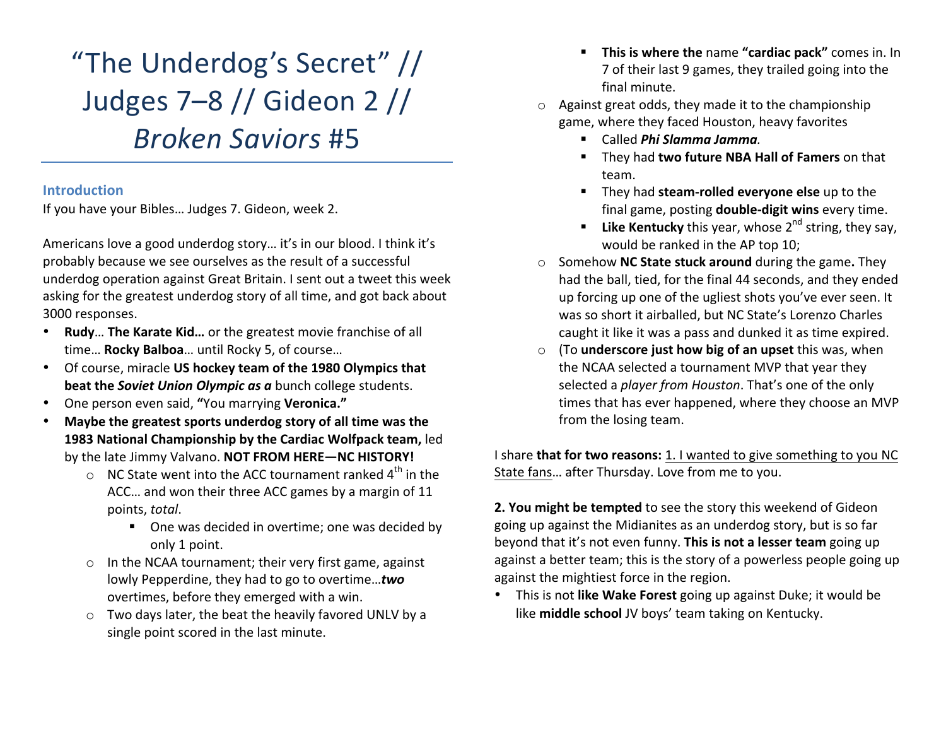"The Underdog's Secret" // Judges 7–8 // Gideon 2 // *Broken Saviors* #5

#### **Introduction**

If you have your Bibles... Judges 7. Gideon, week 2.

Americans love a good underdog story... it's in our blood. I think it's probably because we see ourselves as the result of a successful underdog operation against Great Britain. I sent out a tweet this week asking for the greatest underdog story of all time, and got back about 3000 responses.

- **Rudy... The Karate Kid...** or the greatest movie franchise of all time... **Rocky Balboa**... until Rocky 5, of course...
- Of course, miracle US hockey team of the 1980 Olympics that **beat the Soviet Union Olympic as a** bunch college students.
- One person even said, "You marrying **Veronica.**"
- **Maybe the greatest sports underdog story of all time was the 1983 National Championship by the Cardiac Wolfpack team, led** by the late Jimmy Valvano. NOT FROM HERE-NC HISTORY!
	- $\circ$  NC State went into the ACC tournament ranked 4<sup>th</sup> in the ACC... and won their three ACC games by a margin of 11 points, total.
		- One was decided in overtime; one was decided by only 1 point.
	- $\circ$  In the NCAA tournament; their very first game, against lowly Pepperdine, they had to go to overtime...**two** overtimes, before they emerged with a win.
	- $\circ$  Two days later, the beat the heavily favored UNLV by a single point scored in the last minute.
- **This is where the name "cardiac pack"** comes in. In 7 of their last 9 games, they trailed going into the final minute.
- $\circ$  Against great odds, they made it to the championship game, where they faced Houston, heavy favorites
	- § Called *Phi Slamma Jamma.*
	- They had **two future NBA Hall of Famers** on that team.
	- **F** They had steam-rolled everyone else up to the final game, posting **double-digit wins** every time.
	- **Like Kentucky** this year, whose  $2^{nd}$  string, they say, would be ranked in the AP top 10;
- o Somehow **NC State stuck around** during the game**.** They had the ball, tied, for the final 44 seconds, and they ended up forcing up one of the ugliest shots you've ever seen. It was so short it airballed, but NC State's Lorenzo Charles caught it like it was a pass and dunked it as time expired.
- o (To **underscore just how big of an upset** this was, when the NCAA selected a tournament MVP that year they selected a *player from Houston*. That's one of the only times that has ever happened, where they choose an MVP from the losing team.

I share **that for two reasons:** 1. I wanted to give something to you NC State fans... after Thursday. Love from me to you.

**2. You might be tempted** to see the story this weekend of Gideon going up against the Midianites as an underdog story, but is so far beyond that it's not even funny. This is not a lesser team going up against a better team; this is the story of a powerless people going up against the mightiest force in the region.

• This is not like Wake Forest going up against Duke; it would be like **middle school** JV boys' team taking on Kentucky.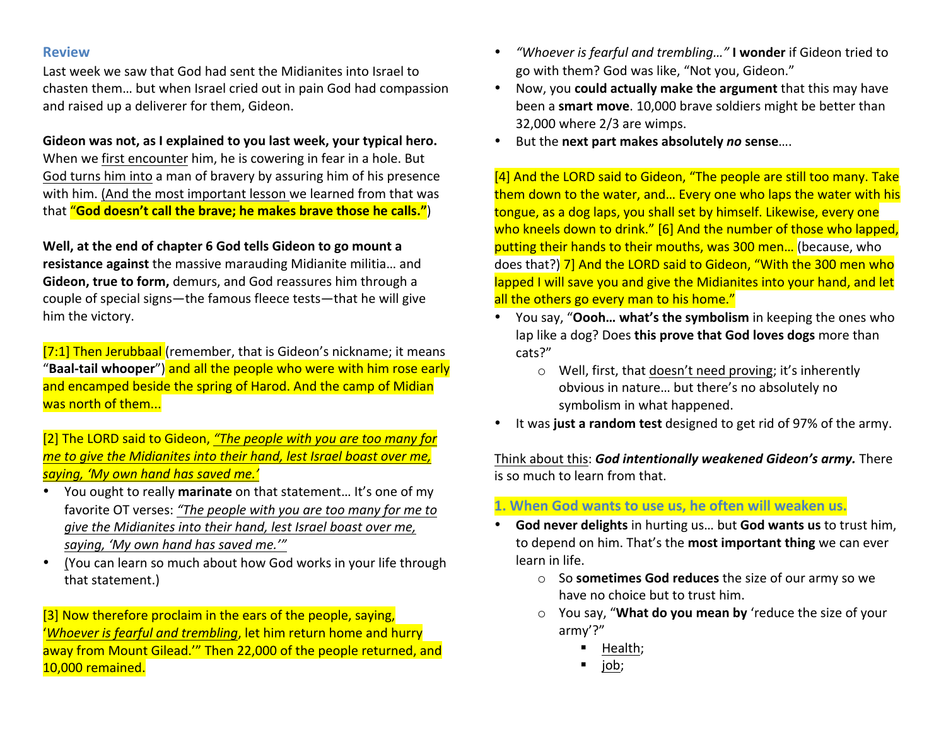#### **Review**

Last week we saw that God had sent the Midianites into Israel to chasten them... but when Israel cried out in pain God had compassion and raised up a deliverer for them, Gideon.

### Gideon was not, as I explained to you last week, your typical hero.

When we first encounter him, he is cowering in fear in a hole. But God turns him into a man of bravery by assuring him of his presence with him. (And the most important lesson we learned from that was that "**God doesn't call the brave; he makes brave those he calls."**)

#### **Well, at the end of chapter 6 God tells Gideon to go mount a**

**resistance against** the massive marauding Midianite militia... and **Gideon, true to form,** demurs, and God reassures him through a couple of special signs—the famous fleece tests—that he will give him the victory.

[7:1] Then Jerubbaal (remember, that is Gideon's nickname; it means "Baal-tail whooper") and all the people who were with him rose early and encamped beside the spring of Harod. And the camp of Midian was north of them...

[2] The LORD said to Gideon, "The people with you are too many for *me to give the Midianites into their hand, lest Israel boast over me, saying, 'My own hand has saved me.'*

- You ought to really **marinate** on that statement... It's one of my favorite OT verses: "The people with you are too many for me to *give the Midianites into their hand, lest Israel boast over me,* saying, 'My own hand has saved me.'"
- (You can learn so much about how God works in your life through that statement.)

[3] Now therefore proclaim in the ears of the people, saying, *'Whoever is fearful and trembling*, let him return home and hurry away from Mount Gilead." Then 22,000 of the people returned, and 10,000 remained.

- "Whoever is fearful and trembling..." I wonder if Gideon tried to go with them? God was like, "Not you, Gideon."
- Now, you **could actually make the argument** that this may have been a **smart move**. 10,000 brave soldiers might be better than  $32,000$  where  $2/3$  are wimps.
- But the next part makes absolutely no sense....

[4] And the LORD said to Gideon, "The people are still too many. Take them down to the water, and... Every one who laps the water with his tongue, as a dog laps, you shall set by himself. Likewise, every one who kneels down to drink." [6] And the number of those who lapped, putting their hands to their mouths, was 300 men... (because, who does that?) 7] And the LORD said to Gideon, "With the 300 men who lapped I will save you and give the Midianites into your hand, and let all the others go every man to his home."

- You say, "**Oooh... what's the symbolism** in keeping the ones who lap like a dog? Does this prove that God loves dogs more than cats?"
	- $\circ$  Well, first, that doesn't need proving; it's inherently obvious in nature... but there's no absolutely no symbolism in what happened.
- It was just a random test designed to get rid of 97% of the army.

Think about this: God intentionally weakened Gideon's army. There is so much to learn from that.

# **1. When God wants to use us, he often will weaken us.**

- **God never delights** in hurting us... but **God wants us** to trust him, to depend on him. That's the **most important thing** we can ever learn in life.
	- o So **sometimes God reduces** the size of our army so we have no choice but to trust him.
	- o You say, "What do you mean by 'reduce the size of your army'?"
		- § Health;
		- § job;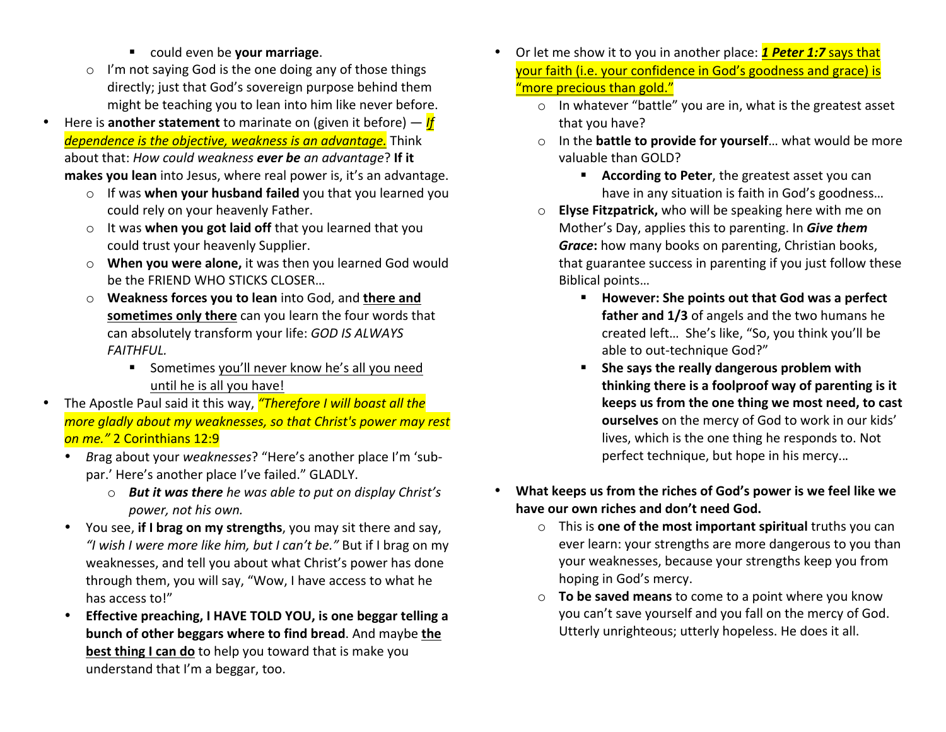- could even be **your marriage**.
- $\circ$  I'm not saying God is the one doing any of those things directly; just that God's sovereign purpose behind them might be teaching you to lean into him like never before.
- Here is **another statement** to marinate on (given it before)  $-$  *If dependence is the objective, weakness is an advantage.* Think about that: *How could weakness ever be an advantage*? If it **makes you lean** into Jesus, where real power is, it's an advantage.
	- o If was **when your husband failed** you that you learned you could rely on your heavenly Father.
	- o It was **when you got laid off** that you learned that you could trust your heavenly Supplier.
	- o **When you were alone,** it was then you learned God would be the FRIEND WHO STICKS CLOSER...
	- $\circ$  **Weakness forces you to lean** into God, and there and sometimes only there can you learn the four words that can absolutely transform your life: *GOD IS ALWAYS FAITHFUL.*
		- Sometimes you'll never know he's all you need until he is all you have!
- The Apostle Paul said it this way, *"Therefore I will boast all the more gladly about my weaknesses, so that Christ's power may rest* **on** me." 2 Corinthians 12:9
	- Brag about your *weaknesses*? "Here's another place I'm 'subpar.' Here's another place I've failed." GLADLY.
		- $\circ$  *But it was there he was able to put on display Christ's power, not his own.*
	- You see, if I brag on my strengths, you may sit there and say, "I wish I were more like him, but I can't be." But if I brag on my weaknesses, and tell you about what Christ's power has done through them, you will say, "Wow, I have access to what he has access to!"
	- **Effective preaching, I HAVE TOLD YOU, is one beggar telling a bunch of other beggars where to find bread.** And maybe the **best thing I can do** to help you toward that is make you understand that I'm a beggar, too.
- Or let me show it to you in another place: **1 Peter 1:7** says that your faith (i.e. your confidence in God's goodness and grace) is "more precious than gold."
	- $\circ$  In whatever "battle" you are in, what is the greatest asset that you have?
	- o In the **battle to provide for yourself**... what would be more valuable than GOLD?
		- **EXECORDING THE PETER**, the greatest asset you can have in any situation is faith in God's goodness...
	- o **Elyse Fitzpatrick,** who will be speaking here with me on Mother's Day, applies this to parenting. In **Give them** *Grace*: how many books on parenting, Christian books, that guarantee success in parenting if you just follow these Biblical points...
		- However: She points out that God was a perfect **father and 1/3** of angels and the two humans he created left... She's like, "So, you think you'll be able to out-technique God?"
		- She says the really dangerous problem with thinking there is a foolproof way of parenting is it keeps us from the one thing we most need, to cast **ourselves** on the mercy of God to work in our kids' lives, which is the one thing he responds to. Not perfect technique, but hope in his mercy...
- What keeps us from the riches of God's power is we feel like we have our own riches and don't need God.
	- o This is **one of the most important spiritual** truths you can ever learn: your strengths are more dangerous to you than your weaknesses, because your strengths keep you from hoping in God's mercy.
	- $\circ$  **To be saved means** to come to a point where you know you can't save yourself and you fall on the mercy of God. Utterly unrighteous; utterly hopeless. He does it all.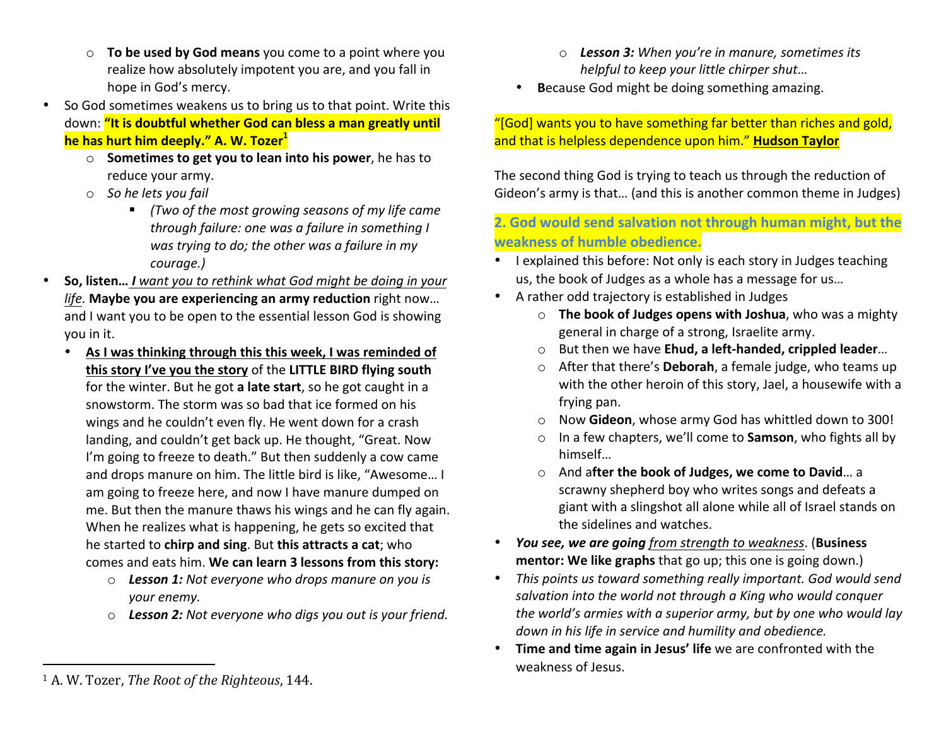- $\circ$  **To be used by God means** you come to a point where you realize how absolutely impotent you are, and you fall in hope in God's mercy.
- So God sometimes weakens us to bring us to that point. Write this down: "It is doubtful whether God can bless a man greatly until **he has hurt him deeply." A. W. Tozer**<sup>1</sup>
	- o **Sometimes to get you to lean into his power**, he has to reduce your army.
	- o *So he lets you fail* 
		- (Two of the most growing seasons of my life came *through failure: one was a failure in something I* was trying to do; the other was a failure in my *courage.)*
- **So, listen... I** want you to rethink what God might be doing in your *life***. Maybe you are experiencing an army reduction right now...** and I want you to be open to the essential lesson God is showing you in it.
	- As I was thinking through this this week, I was reminded of **this story I've you the story** of the LITTLE BIRD flying south for the winter. But he got a late start, so he got caught in a snowstorm. The storm was so bad that ice formed on his wings and he couldn't even fly. He went down for a crash landing, and couldn't get back up. He thought, "Great. Now I'm going to freeze to death." But then suddenly a cow came and drops manure on him. The little bird is like, "Awesome... I am going to freeze here, and now I have manure dumped on me. But then the manure thaws his wings and he can fly again. When he realizes what is happening, he gets so excited that he started to **chirp and sing**. But **this attracts a cat**; who comes and eats him. We can learn 3 lessons from this story:
		- o **Lesson 1:** Not everyone who drops manure on you is *your enemy.*
		- **Lesson 2:** Not everyone who digs you out is your friend.
- o **Lesson 3:** When you're in manure, sometimes its *helpful* to keep your little chirper shut...
- Because God might be doing something amazing.

### "[God] wants you to have something far better than riches and gold, and that is helpless dependence upon him." **Hudson Taylor**

The second thing God is trying to teach us through the reduction of Gideon's army is that... (and this is another common theme in Judges)

# **2. God would send salvation not through human might, but the weakness of humble obedience.**

- I explained this before: Not only is each story in Judges teaching us, the book of Judges as a whole has a message for us...
- A rather odd trajectory is established in Judges
	- o **The book of Judges opens with Joshua**, who was a mighty general in charge of a strong, Israelite army.
	- But then we have **Ehud, a left-handed, crippled leader...**
	- o After that there's **Deborah**, a female judge, who teams up with the other heroin of this story, Jael, a housewife with a frying pan.
	- o Now Gideon, whose army God has whittled down to 300!
	- o In a few chapters, we'll come to **Samson**, who fights all by himself…
	- o And after the book of Judges, we come to David... a scrawny shepherd boy who writes songs and defeats a giant with a slingshot all alone while all of Israel stands on the sidelines and watches.
- *You see, we are going from strength to weakness*. (**Business mentor:** We like graphs that go up; this one is going down.)
- This points us toward something really important. God would send salvation into the world not through a King who would conquer *the world's armies with a superior army, but by one who would lay* down in his life in service and humility and obedience.
- Time and time again in Jesus' life we are confronted with the weakness of Jesus.

 

<sup>&</sup>lt;sup>1</sup> A. W. Tozer, *The Root of the Righteous*, 144.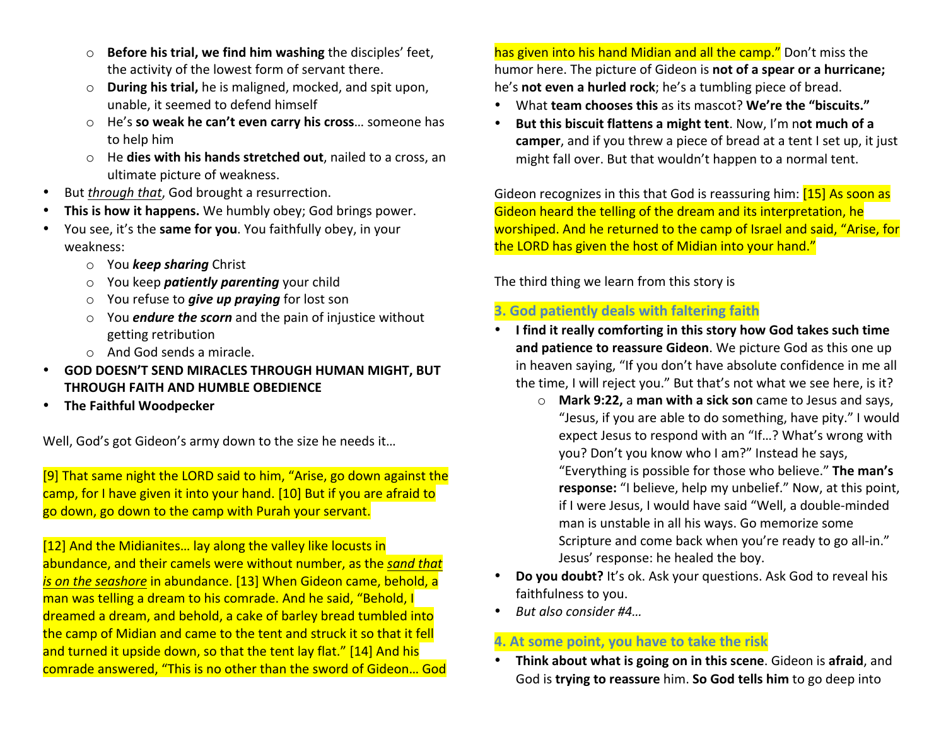- o **Before his trial, we find him washing** the disciples' feet, the activity of the lowest form of servant there.
- o **During his trial,** he is maligned, mocked, and spit upon, unable, it seemed to defend himself
- o He's **so weak he can't even carry his cross**... someone has to help him
- o He **dies with his hands stretched out**, nailed to a cross, an ultimate picture of weakness.
- But *through that*, God brought a resurrection.
- This is how it happens. We humbly obey; God brings power.
- You see, it's the **same for you**. You faithfully obey, in your weakness:
	- o You *keep sharing* Christ
	- o You keep *patiently parenting* your child
	- o You refuse to *give up praying* for lost son
	- o You *endure the scorn* and the pain of injustice without getting retribution
	- $\circ$  And God sends a miracle.
- **GOD DOESN'T SEND MIRACLES THROUGH HUMAN MIGHT, BUT THROUGH FAITH AND HUMBLE OBEDIENCE**
- **The Faithful Woodpecker**

Well, God's got Gideon's army down to the size he needs it...

[9] That same night the LORD said to him, "Arise, go down against the camp, for I have given it into your hand. [10] But if you are afraid to go down, go down to the camp with Purah your servant.

[12] And the Midianites... lay along the valley like locusts in abundance, and their camels were without number, as the *sand that is on the seashore* in abundance. [13] When Gideon came, behold, a man was telling a dream to his comrade. And he said, "Behold, I dreamed a dream, and behold, a cake of barley bread tumbled into the camp of Midian and came to the tent and struck it so that it fell and turned it upside down, so that the tent lay flat." [14] And his comrade answered, "This is no other than the sword of Gideon... God has given into his hand Midian and all the camp." Don't miss the humor here. The picture of Gideon is **not of a spear or a hurricane;** he's **not even a hurled rock**; he's a tumbling piece of bread.

- What **team chooses this** as its mascot? We're the "biscuits."
- But this biscuit flattens a might tent. Now, I'm not much of a **camper**, and if you threw a piece of bread at a tent I set up, it just might fall over. But that wouldn't happen to a normal tent.

Gideon recognizes in this that God is reassuring him: [15] As soon as Gideon heard the telling of the dream and its interpretation, he worshiped. And he returned to the camp of Israel and said, "Arise, for the LORD has given the host of Midian into your hand."

The third thing we learn from this story is

## **3. God patiently deals with faltering faith**

- I find it really comforting in this story how God takes such time and patience to reassure Gideon. We picture God as this one up in heaven saying, "If you don't have absolute confidence in me all the time, I will reject you." But that's not what we see here, is it?
	- o **Mark 9:22,** a **man with a sick son** came to Jesus and says, "Jesus, if you are able to do something, have pity." I would expect Jesus to respond with an "If...? What's wrong with you? Don't you know who I am?" Instead he says, "Everything is possible for those who believe." The man's **response:** "I believe, help my unbelief." Now, at this point, if I were Jesus, I would have said "Well, a double-minded man is unstable in all his ways. Go memorize some Scripture and come back when you're ready to go all-in." Jesus' response: he healed the boy.
- **Do you doubt?** It's ok. Ask your questions. Ask God to reveal his faithfulness to you.
- But also consider #4...

# **4. At some point, you have to take the risk**

**Think about what is going on in this scene**. Gideon is afraid, and God is **trying to reassure** him. So God tells him to go deep into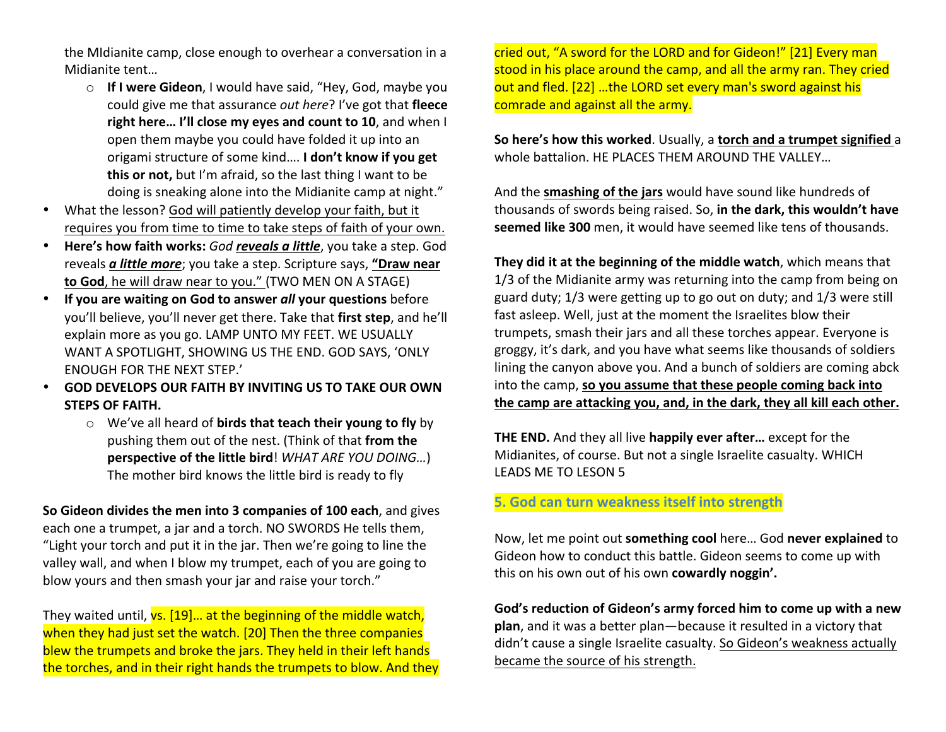the Midianite camp, close enough to overhear a conversation in a Midianite tent...

- o **If I were Gideon**, I would have said, "Hey, God, maybe you could give me that assurance *out here*? I've got that fleece **right here... I'll close my eyes and count to 10, and when I** open them maybe you could have folded it up into an origami structure of some kind.... I don't know if you get **this or not,** but I'm afraid, so the last thing I want to be doing is sneaking alone into the Midianite camp at night."
- What the lesson? God will patiently develop your faith, but it requires you from time to time to take steps of faith of your own.
- Here's how faith works: God reveals a little, you take a step. God reveals *a little more*; you take a step. Scripture says, "Draw near **to God**, he will draw near to you." (TWO MEN ON A STAGE)
- If you are waiting on God to answer *all* your questions before you'll believe, you'll never get there. Take that first step, and he'll explain more as you go. LAMP UNTO MY FEET. WE USUALLY WANT A SPOTLIGHT, SHOWING US THE END. GOD SAYS, 'ONLY ENOUGH FOR THE NEXT STEP.'
- **GOD DEVELOPS OUR FAITH BY INVITING US TO TAKE OUR OWN STEPS OF FAITH.**
	- o We've all heard of **birds that teach their young to fly** by pushing them out of the nest. (Think of that from the **perspective of the little bird**! *WHAT ARE YOU DOING...*) The mother bird knows the little bird is ready to fly

**So Gideon divides the men into 3 companies of 100 each**, and gives each one a trumpet, a jar and a torch. NO SWORDS He tells them, "Light your torch and put it in the jar. Then we're going to line the valley wall, and when I blow my trumpet, each of you are going to blow yours and then smash your jar and raise your torch."

They waited until,  $vs.$  [19]... at the beginning of the middle watch, when they had just set the watch. [20] Then the three companies blew the trumpets and broke the jars. They held in their left hands the torches, and in their right hands the trumpets to blow. And they

cried out, "A sword for the LORD and for Gideon!" [21] Every man stood in his place around the camp, and all the army ran. They cried out and fled. [22] ...the LORD set every man's sword against his comrade and against all the army.

**So here's how this worked**. Usually, a torch and a trumpet signified a whole battalion. HE PLACES THEM AROUND THE VALLEY...

And the **smashing of the jars** would have sound like hundreds of thousands of swords being raised. So, in the dark, this wouldn't have seemed like 300 men, it would have seemed like tens of thousands.

They did it at the beginning of the middle watch, which means that 1/3 of the Midianite army was returning into the camp from being on guard duty;  $1/3$  were getting up to go out on duty; and  $1/3$  were still fast asleep. Well, just at the moment the Israelites blow their trumpets, smash their jars and all these torches appear. Everyone is groggy, it's dark, and you have what seems like thousands of soldiers lining the canyon above you. And a bunch of soldiers are coming abck into the camp, so you assume that these people coming back into the camp are attacking you, and, in the dark, they all kill each other.

**THE END.** And they all live **happily ever after...** except for the Midianites, of course. But not a single Israelite casualty. WHICH LEADS ME TO LESON 5

### **5. God can turn weakness itself into strength**

Now, let me point out **something cool** here... God never explained to Gideon how to conduct this battle. Gideon seems to come up with this on his own out of his own **cowardly noggin'.** 

God's reduction of Gideon's army forced him to come up with a new plan, and it was a better plan-because it resulted in a victory that didn't cause a single Israelite casualty. So Gideon's weakness actually became the source of his strength.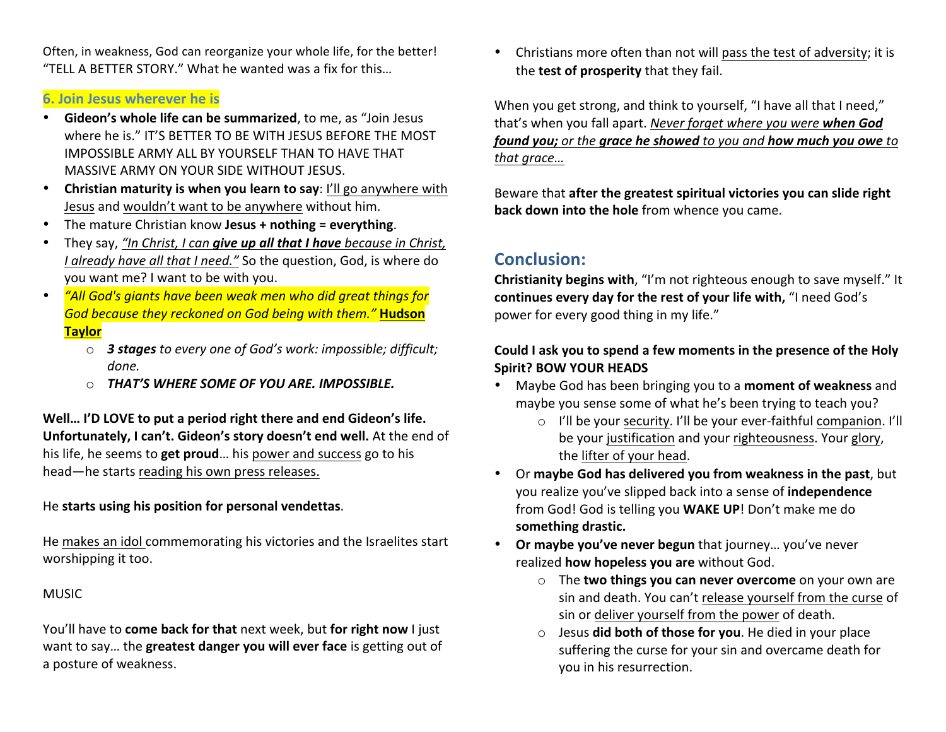Often, in weakness, God can reorganize your whole life, for the better! "TELL A BETTER STORY." What he wanted was a fix for this...

### **6. Join Jesus wherever he is**

- Gideon's whole life can be summarized, to me, as "Join Jesus where he is." IT'S BETTER TO BE WITH JESUS BEFORE THE MOST IMPOSSIBLE ARMY ALL BY YOURSELF THAN TO HAVE THAT MASSIVE ARMY ON YOUR SIDE WITHOUT JESUS.
- Christian maturity is when you learn to say: I'll go anywhere with Jesus and wouldn't want to be anywhere without him.
- The mature Christian know **Jesus + nothing = everything**.
- They say, "In Christ, I can give up all that I have because in Christ, *I* already have all that *I* need." So the question, God, is where do you want me? I want to be with you.
- *"All God's giants have been weak men who did great things for God because they reckoned on God being with them."* **Hudson Taylor**
	- o *3 stages to every one of God's work: impossible; difficult; done.*
	- $\circ$  **THAT'S WHERE SOME OF YOU ARE. IMPOSSIBLE.**

Well... I'D LOVE to put a period right there and end Gideon's life. **Unfortunately, I can't. Gideon's story doesn't end well.** At the end of his life, he seems to **get proud**... his power and success go to his head—he starts reading his own press releases.

### He starts using his position for personal vendettas.

He makes an idol commemorating his victories and the Israelites start worshipping it too.

#### **MUSIC**

You'll have to **come back for that** next week, but **for right now** I just want to say... the greatest danger you will ever face is getting out of a posture of weakness.

• Christians more often than not will pass the test of adversity; it is the **test of prosperity** that they fail.

When you get strong, and think to yourself, "I have all that I need," that's when you fall apart. *Never forget where you were* when God *found you;* or the grace he showed to you and how much you owe to that grace...

Beware that after the greatest spiritual victories you can slide right **back down into the hole** from whence you came.

# **Conclusion:**

**Christianity begins with**, "I'm not righteous enough to save myself." It continues every day for the rest of your life with, "I need God's power for every good thing in my life."

### Could I ask you to spend a few moments in the presence of the Holy **Spirit? BOW YOUR HEADS**

- Maybe God has been bringing you to a **moment of weakness** and maybe you sense some of what he's been trying to teach you?
	- $\circ$  I'll be your security. I'll be your ever-faithful companion. I'll be your justification and your righteousness. Your glory, the lifter of your head.
- Or maybe God has delivered you from weakness in the past, but you realize you've slipped back into a sense of *independence* from God! God is telling you WAKE UP! Don't make me do **something drastic.**
- Or maybe you've never begun that journey... you've never realized **how hopeless you are** without God.
	- o The **two things you can never overcome** on your own are sin and death. You can't release yourself from the curse of sin or deliver yourself from the power of death.
	- o Jesus **did both of those for you**. He died in your place suffering the curse for your sin and overcame death for you in his resurrection.